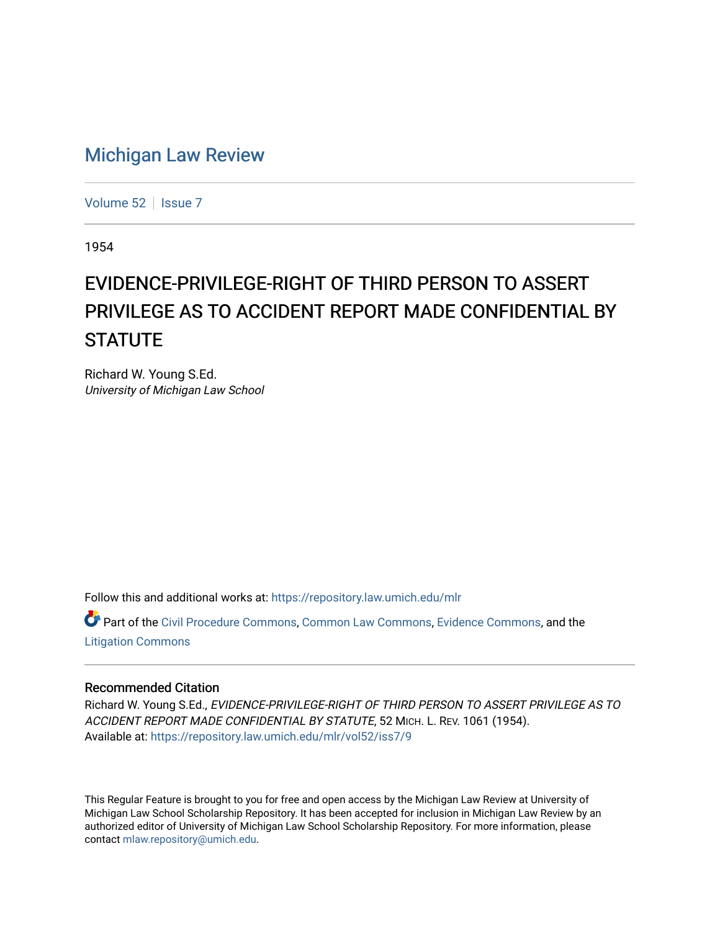## [Michigan Law Review](https://repository.law.umich.edu/mlr)

[Volume 52](https://repository.law.umich.edu/mlr/vol52) | [Issue 7](https://repository.law.umich.edu/mlr/vol52/iss7)

1954

## EVIDENCE-PRIVILEGE-RIGHT OF THIRD PERSON TO ASSERT PRIVILEGE AS TO ACCIDENT REPORT MADE CONFIDENTIAL BY **STATUTE**

Richard W. Young S.Ed. University of Michigan Law School

Follow this and additional works at: [https://repository.law.umich.edu/mlr](https://repository.law.umich.edu/mlr?utm_source=repository.law.umich.edu%2Fmlr%2Fvol52%2Fiss7%2F9&utm_medium=PDF&utm_campaign=PDFCoverPages) 

Part of the [Civil Procedure Commons,](http://network.bepress.com/hgg/discipline/584?utm_source=repository.law.umich.edu%2Fmlr%2Fvol52%2Fiss7%2F9&utm_medium=PDF&utm_campaign=PDFCoverPages) [Common Law Commons](http://network.bepress.com/hgg/discipline/1120?utm_source=repository.law.umich.edu%2Fmlr%2Fvol52%2Fiss7%2F9&utm_medium=PDF&utm_campaign=PDFCoverPages), [Evidence Commons](http://network.bepress.com/hgg/discipline/601?utm_source=repository.law.umich.edu%2Fmlr%2Fvol52%2Fiss7%2F9&utm_medium=PDF&utm_campaign=PDFCoverPages), and the [Litigation Commons](http://network.bepress.com/hgg/discipline/910?utm_source=repository.law.umich.edu%2Fmlr%2Fvol52%2Fiss7%2F9&utm_medium=PDF&utm_campaign=PDFCoverPages) 

## Recommended Citation

Richard W. Young S.Ed., EVIDENCE-PRIVILEGE-RIGHT OF THIRD PERSON TO ASSERT PRIVILEGE AS TO ACCIDENT REPORT MADE CONFIDENTIAL BY STATUTE, 52 MICH. L. REV. 1061 (1954). Available at: [https://repository.law.umich.edu/mlr/vol52/iss7/9](https://repository.law.umich.edu/mlr/vol52/iss7/9?utm_source=repository.law.umich.edu%2Fmlr%2Fvol52%2Fiss7%2F9&utm_medium=PDF&utm_campaign=PDFCoverPages)

This Regular Feature is brought to you for free and open access by the Michigan Law Review at University of Michigan Law School Scholarship Repository. It has been accepted for inclusion in Michigan Law Review by an authorized editor of University of Michigan Law School Scholarship Repository. For more information, please contact [mlaw.repository@umich.edu](mailto:mlaw.repository@umich.edu).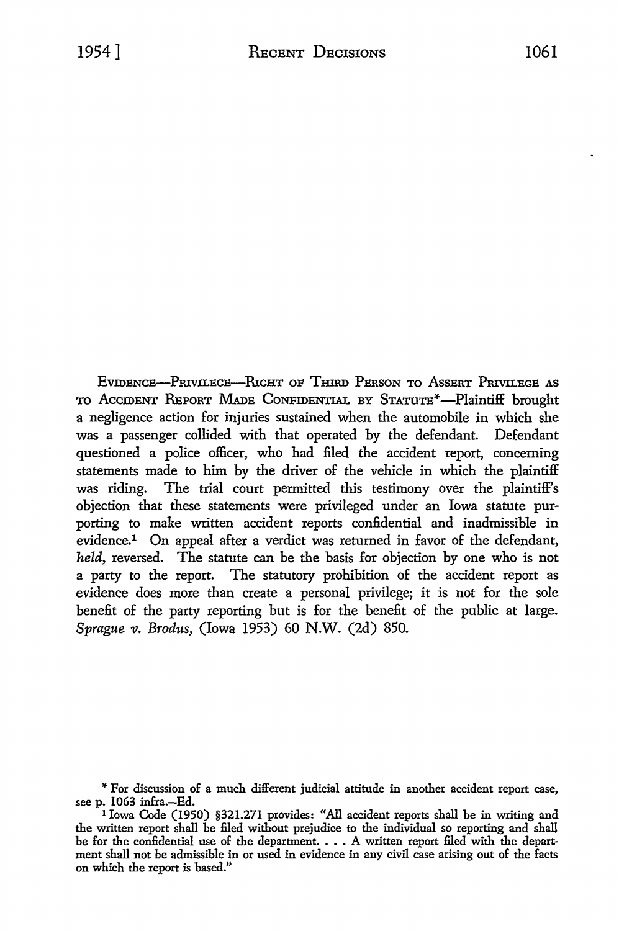EVIDENCE-PRIVILECE-RIGHT OF THIRD PERSON TO ASSERT PRIVILECE AS TO ACCIDENT REPORT MADE CONFIDENTIAL BY STATUTE<sup>\*</sup>-Plaintiff brought a negligence action for injuries sustained when the automobile in which she was a passenger collided with that operated by the defendant. Defendant questioned a police officer, who had filed the accident report, concerning statements made to him by the driver of the vehicle in which the plaintiff was riding. The trial court permitted this testimony over the plaintiff's objection that these statements were privileged under an Iowa statute purporting to make written accident reports confidential and inadmissible in evidence.1 On appeal after a verdict was returned in favor of the defendant, *held,* reversed. The statute can be the basis for objection by one who is not a party to the report. The statutory prohibition of the accident report as evidence does more than create a personal privilege; it is not for the sole benefit of the party reporting but is for the benefit of the public at large. *Sprague v. Brodus, (Iowa 1953) 60 N.W. (2d) 850.* 

<sup>&</sup>quot;' For discussion of a much different judicial attitude in another accident report case,

<sup>&</sup>lt;sup>1</sup> Iowa Code (1950) §321.271 provides: "All accident reports shall be in writing and the written report shall be filed without prejudice to the individual so reporting and shall be for the confidential use of the department.  $\ldots$  . A written report filed with the department shall not be admissible in or used in evidence in any civil case arising out of the facts on which the report is based."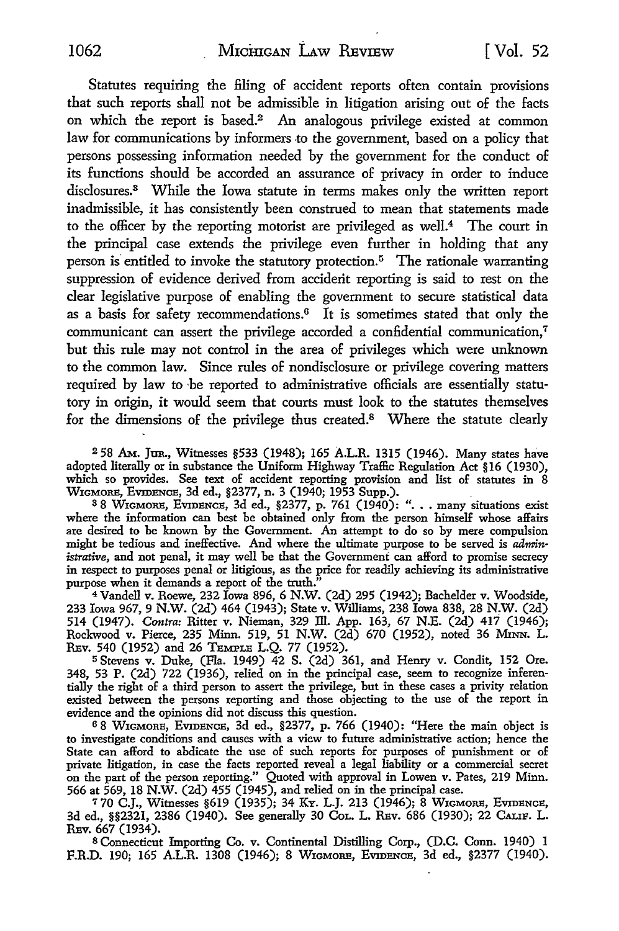Statutes requiring the filing of accident reports often contain provisions that such reports shall not be admissible in litigation arising out of the facts on which the report is based.2 An analogous privilege existed at common law for communications by informers to the government, based on a policy that persons possessing information needed by the government for the conduct of its functions should be accorded an assurance of privacy in order to induce disclosures.<sup>3</sup> While the Iowa statute in terms makes only the written report inadmissible, it has consistently been construed to mean that statements made to the officer by the reporting motorist are privileged as well.<sup>4</sup>The court in the principal case extends the privilege even further in holding that any person is entitled to invoke the statutory protection.<sup>5</sup> The rationale warranting suppression of evidence derived from accident reporting is said to rest on the clear legislative purpose of enabling the government to secure statistical data as a basis for safety recommendations.6 It is sometimes stated that only the communicant can assert the privilege accorded a confidential communication,<sup>7</sup> but this rule may not control in the area of privileges which were unknown to the common law. Since rules of nondisclosure or privilege covering matters required by law to be reported to administrative officials are essentially statutory in origin, it would seem that courts must look to the statutes themselves for the dimensions of the privilege thus created.<sup>8</sup>Where the statute clearly

<sup>2</sup>58 AM. Jun., Witnesses §533 (1948); 165 A.L.R. 1315 (1946). Many states have adopted literally or in substance the Uniform Highway Traffic Regulation Act §16 (1930), which so provides. See text of accident reporting provision and list of statutes in 8

WIGMORE, EVIDENCE, 3d ed., §2377, n. 3 (1940; 1953 Supp.). <sup>3</sup>8 W1GMORE, EVIDENCE, 3d ed., §2377, p. 761 (1940): " .•• many situations exist where the information can best be obtained only from the person himself whose affairs are desired to be known by the Government. An attempt to do so by mere compulsion might be tedious and ineffective. And where the ultimate purpose to be served is *administrative,* and not penal, it may well be that the Government can afford to promise secrecy in respect to purposes penal or litigious, as the price for readily achieving its administrative purpose when it demands a report of the truth.'

<sup>4</sup>Vandell v. Roewe, 232 Iowa 896, 6 N.W. (2d) 295 (1942); Bachelder v. Woodside, 233 Iowa 967, 9 N.W. (2d) 464 (1943); State v. Williams, 238 Iowa 838, 28 N.W. (2d) 514 (1947). *Contra:* Ritter v. Nieman, 329 ill. App. 163, 67 N.E. (2d) 417 (1946); Rockwood v. Pierce, 235 Minn. 519, 51 N.W. (2d) 670 (1952), noted 36 MINN. L. REv. 540 (1952) and 26 TEMPLE L.Q. 77 (1952).

<sup>5</sup>Stevens v. Duke, (Fla. 1949) 42 S. (2d) 361, and Henry v. Condit, 152 Ore. 348, 53 P. (2d) 722 (1936), relied on in the principal case, seem to recognize inferentially the right of a third person to assert the privilege, but in these cases a privity relation existed between the persons reporting and those objecting to the use of the report. in evidence and the opinions did not discuss this question.

<sup>6</sup>8 WIGMORE, EVIDENCE, 3d ed., §2377, p. 766 (1940): "Here the main object is to investigate conditions and causes with a view to future administrative action; hence the State can afford to abdicate the use of such reports for purposes of punishment or of private litigation, in case the facts reported reveal a legal liability or a commercial secret on the part of the person reporting." Quoted with approval in Lowen v. Pates, 219 Minn. 566 at 569, 18 N.W. (2d) 455 (1945), and relied on in the principal case.

<sup>7</sup>70 C.J., Witnesses §619 (1935); 34 KY. L.J. 213 (1946); 8 W1cMoRE, EVIDENCE, 3d ed., §§2321, 2386 (1940). See generally 30 CoL. L. REv. 686 (1930); 22 CALIF. L. REv. 667 (1934).

8 Connecticut Importing Co. v. Continental Distilling Corp., (D.C. Conn. 1940) 1 F.R.D. 190; 165 A.L.R. 1308 (1946); 8 W1cMORE, EVIDENCE, 3d ed., §2377 (1940).